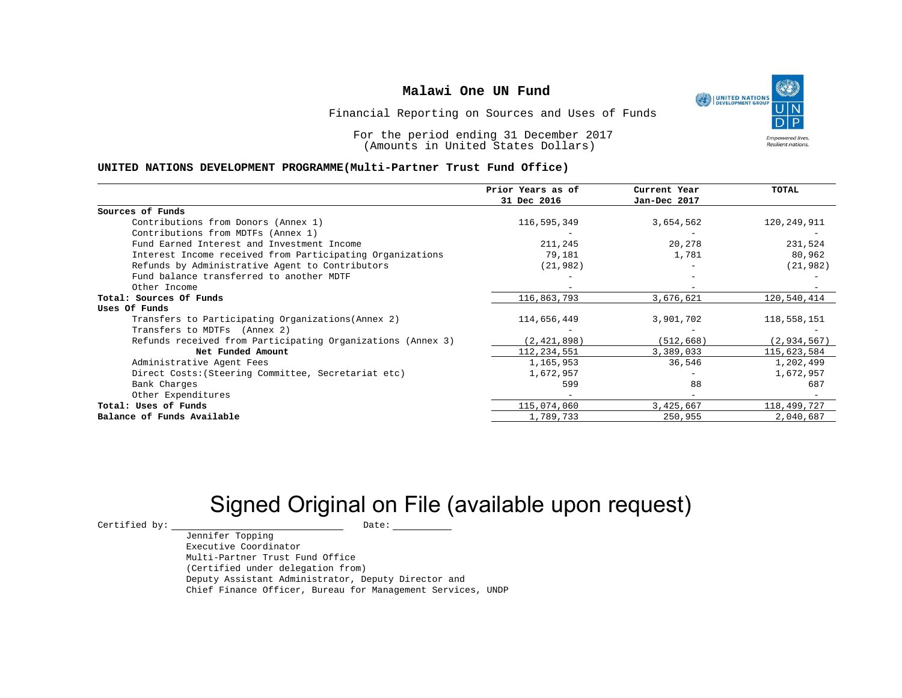

Financial Reporting on Sources and Uses of Funds

For the period ending 31 December 2017 (Amounts in United States Dollars)

### **UNITED NATIONS DEVELOPMENT PROGRAMME(Multi-Partner Trust Fund Office)**

|                                                             | Prior Years as of<br>31 Dec 2016 | Current Year<br>Jan-Dec 2017 | <b>TOTAL</b>  |
|-------------------------------------------------------------|----------------------------------|------------------------------|---------------|
| Sources of Funds                                            |                                  |                              |               |
| Contributions from Donors (Annex 1)                         | 116,595,349                      | 3,654,562                    | 120,249,911   |
| Contributions from MDTFs (Annex 1)                          |                                  |                              |               |
| Fund Earned Interest and Investment Income                  | 211,245                          | 20,278                       | 231,524       |
| Interest Income received from Participating Organizations   | 79,181                           | 1,781                        | 80,962        |
| Refunds by Administrative Agent to Contributors             | (21, 982)                        |                              | (21, 982)     |
| Fund balance transferred to another MDTF                    |                                  |                              |               |
| Other Income                                                |                                  |                              |               |
| Total: Sources Of Funds                                     | 116,863,793                      | 3,676,621                    | 120,540,414   |
| Uses Of Funds                                               |                                  |                              |               |
| Transfers to Participating Organizations (Annex 2)          | 114,656,449                      | 3,901,702                    | 118,558,151   |
| Transfers to MDTFs (Annex 2)                                |                                  |                              |               |
| Refunds received from Participating Organizations (Annex 3) | (2, 421, 898)                    | (512, 668)                   | (2, 934, 567) |
| Net Funded Amount                                           | 112,234,551                      | 3,389,033                    | 115,623,584   |
| Administrative Agent Fees                                   | 1,165,953                        | 36,546                       | 1,202,499     |
| Direct Costs: (Steering Committee, Secretariat etc)         | 1,672,957                        |                              | 1,672,957     |
| Bank Charges                                                | 599                              | 88                           | 687           |
| Other Expenditures                                          |                                  |                              |               |
| Total: Uses of Funds                                        | 115,074,060                      | 3,425,667                    | 118,499,727   |
| Balance of Funds Available                                  | 1,789,733                        | 250,955                      | 2,040,687     |

# Signed Original on File (available upon request)

 $\begin{tabular}{ccccc} \multicolumn{2}{c|}{\textbf{Certified by:}} & & \multicolumn{2}{c|}{\textbf{Date:}} \\ \multicolumn{2}{c|}{\textbf{Date:}} & & \multicolumn{2}{c|}{\textbf{Date:}} \\ \multicolumn{2}{c|}{\textbf{Date:}} & & \multicolumn{2}{c|}{\textbf{Date:}} \\ \multicolumn{2}{c|}{\textbf{Date:}} & & \multicolumn{2}{c|}{\textbf{Date:}} \\ \multicolumn{2}{c|}{\textbf{Date:}} & & \multicolumn{2}{c|}{\textbf{Date:}} \\ \multicolumn{2}{c|}{\textbf{$ 

Jennifer Topping Executive Coordinator Multi-Partner Trust Fund Office (Certified under delegation from) Deputy Assistant Administrator, Deputy Director and Chief Finance Officer, Bureau for Management Services, UNDP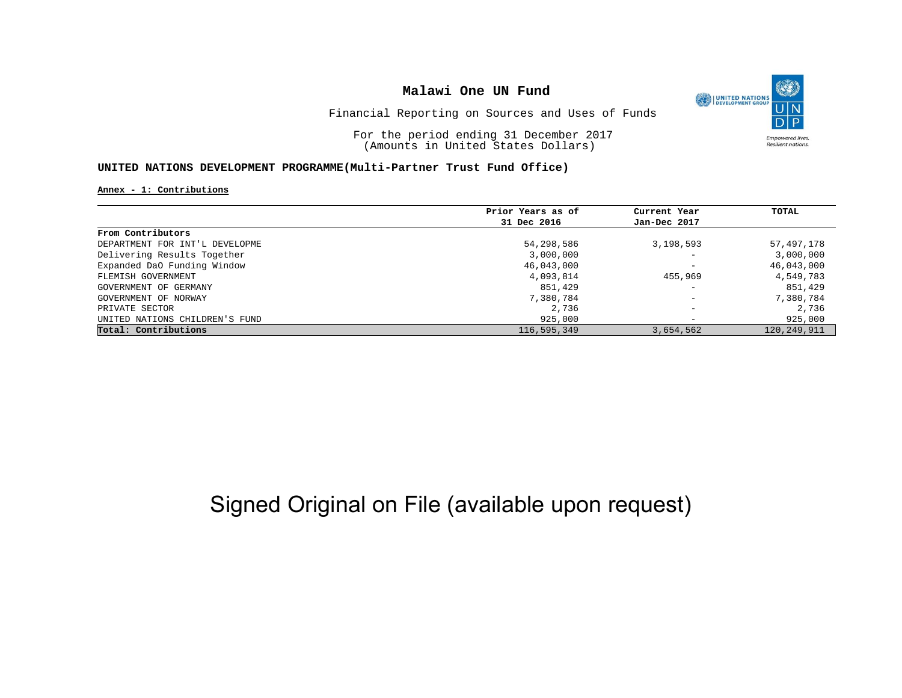

Financial Reporting on Sources and Uses of Funds

For the period ending 31 December 2017 (Amounts in United States Dollars)

#### **UNITED NATIONS DEVELOPMENT PROGRAMME(Multi-Partner Trust Fund Office)**

**Annex - 1: Contributions**

|                                | Prior Years as of | Current Year             | TOTAL         |
|--------------------------------|-------------------|--------------------------|---------------|
|                                | 31 Dec 2016       | Jan-Dec 2017             |               |
| From Contributors              |                   |                          |               |
| DEPARTMENT FOR INT'L DEVELOPME | 54,298,586        | 3,198,593                | 57,497,178    |
| Delivering Results Together    | 3,000,000         | $\overline{\phantom{0}}$ | 3,000,000     |
| Expanded DaO Funding Window    | 46,043,000        | $\overline{\phantom{0}}$ | 46,043,000    |
| FLEMISH GOVERNMENT             | 4,093,814         | 455,969                  | 4,549,783     |
| GOVERNMENT OF GERMANY          | 851,429           | $\overline{\phantom{0}}$ | 851,429       |
| GOVERNMENT OF NORWAY           | 7,380,784         | $\overline{\phantom{m}}$ | 7,380,784     |
| PRIVATE SECTOR                 | 2,736             | $\overline{\phantom{a}}$ | 2,736         |
| UNITED NATIONS CHILDREN'S FUND | 925,000           | $\overline{\phantom{0}}$ | 925,000       |
| Total: Contributions           | 116,595,349       | 3,654,562                | 120, 249, 911 |

# Signed Original on File (available upon request)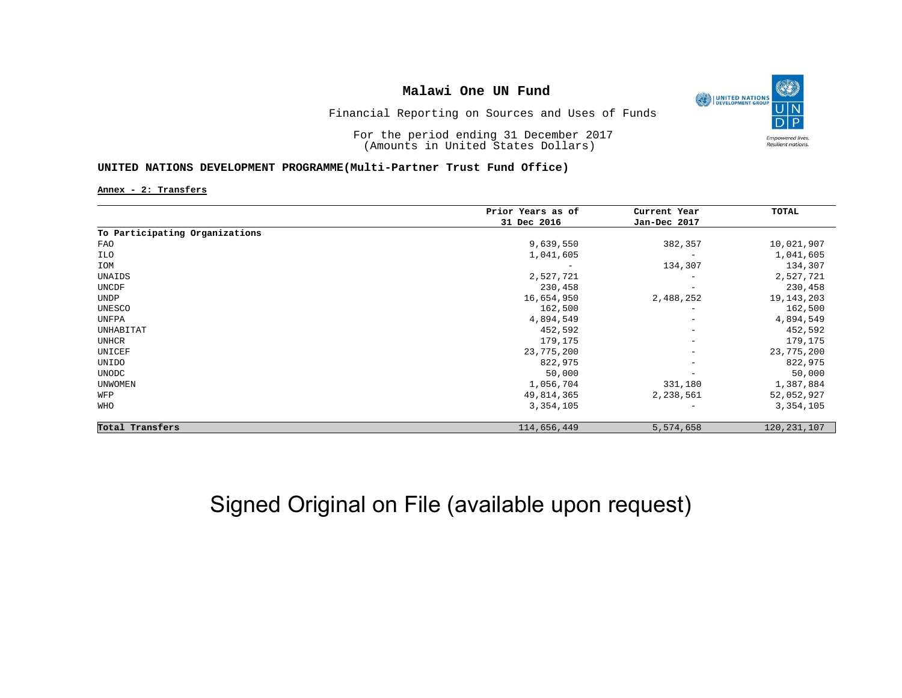

Financial Reporting on Sources and Uses of Funds

For the period ending 31 December 2017 (Amounts in United States Dollars)

### **UNITED NATIONS DEVELOPMENT PROGRAMME(Multi-Partner Trust Fund Office)**

**Annex - 2: Transfers**

|                                | Prior Years as of | Current Year             | TOTAL         |
|--------------------------------|-------------------|--------------------------|---------------|
|                                | 31 Dec 2016       | Jan-Dec 2017             |               |
| To Participating Organizations |                   |                          |               |
| FAO                            | 9,639,550         | 382,357                  | 10,021,907    |
| ILO                            | 1,041,605         | $\overline{\phantom{m}}$ | 1,041,605     |
| IOM                            | -                 | 134,307                  | 134,307       |
| UNAIDS                         | 2,527,721         | $\qquad \qquad -$        | 2,527,721     |
| UNCDF                          | 230,458           | $\overline{\phantom{m}}$ | 230,458       |
| <b>UNDP</b>                    | 16,654,950        | 2,488,252                | 19, 143, 203  |
| UNESCO                         | 162,500           | $\qquad \qquad -$        | 162,500       |
| UNFPA                          | 4,894,549         | $\overline{\phantom{m}}$ | 4,894,549     |
| UNHABITAT                      | 452,592           | $\overline{\phantom{m}}$ | 452,592       |
| <b>UNHCR</b>                   | 179,175           | $\overline{\phantom{m}}$ | 179,175       |
| UNICEF                         | 23,775,200        | $\overline{\phantom{m}}$ | 23,775,200    |
| UNIDO                          | 822,975           | $\overline{\phantom{m}}$ | 822,975       |
| <b>UNODC</b>                   | 50,000            | $\qquad \qquad -$        | 50,000        |
| <b>UNWOMEN</b>                 | 1,056,704         | 331,180                  | 1,387,884     |
| WFP                            | 49,814,365        | 2,238,561                | 52,052,927    |
| WHO                            | 3,354,105         | $\qquad \qquad -$        | 3,354,105     |
| Total Transfers                | 114,656,449       | 5,574,658                | 120, 231, 107 |

# Signed Original on File (available upon request)